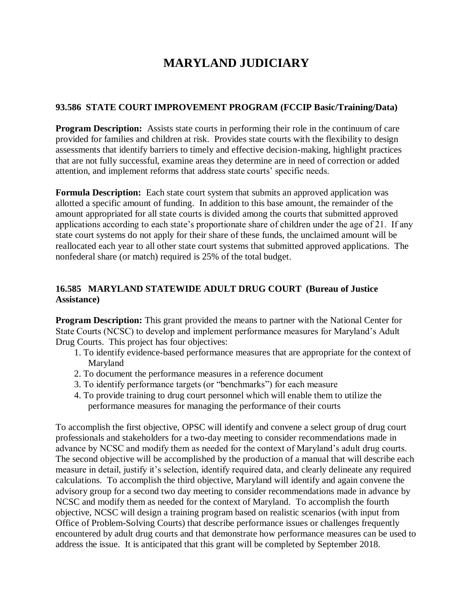# **MARYLAND JUDICIARY**

#### **93.586 STATE COURT IMPROVEMENT PROGRAM (FCCIP Basic/Training/Data)**

**Program Description:** Assists state courts in performing their role in the continuum of care provided for families and children at risk. Provides state courts with the flexibility to design assessments that identify barriers to timely and effective decision-making, highlight practices that are not fully successful, examine areas they determine are in need of correction or added attention, and implement reforms that address state courts' specific needs.

**Formula Description:** Each state court system that submits an approved application was allotted a specific amount of funding. In addition to this base amount, the remainder of the amount appropriated for all state courts is divided among the courts that submitted approved applications according to each state's proportionate share of children under the age of 21. If any state court systems do not apply for their share of these funds, the unclaimed amount will be reallocated each year to all other state court systems that submitted approved applications. The nonfederal share (or match) required is 25% of the total budget.

## **16.585 MARYLAND STATEWIDE ADULT DRUG COURT (Bureau of Justice Assistance)**

**Program Description:** This grant provided the means to partner with the National Center for State Courts (NCSC) to develop and implement performance measures for Maryland's Adult Drug Courts. This project has four objectives:

- 1. To identify evidence-based performance measures that are appropriate for the context of Maryland
- 2. To document the performance measures in a reference document
- 3. To identify performance targets (or "benchmarks") for each measure
- 4. To provide training to drug court personnel which will enable them to utilize the performance measures for managing the performance of their courts

To accomplish the first objective, OPSC will identify and convene a select group of drug court professionals and stakeholders for a two-day meeting to consider recommendations made in advance by NCSC and modify them as needed for the context of Maryland's adult drug courts. The second objective will be accomplished by the production of a manual that will describe each measure in detail, justify it's selection, identify required data, and clearly delineate any required calculations. To accomplish the third objective, Maryland will identify and again convene the advisory group for a second two day meeting to consider recommendations made in advance by NCSC and modify them as needed for the context of Maryland. To accomplish the fourth objective, NCSC will design a training program based on realistic scenarios (with input from Office of Problem-Solving Courts) that describe performance issues or challenges frequently encountered by adult drug courts and that demonstrate how performance measures can be used to address the issue. It is anticipated that this grant will be completed by September 2018.